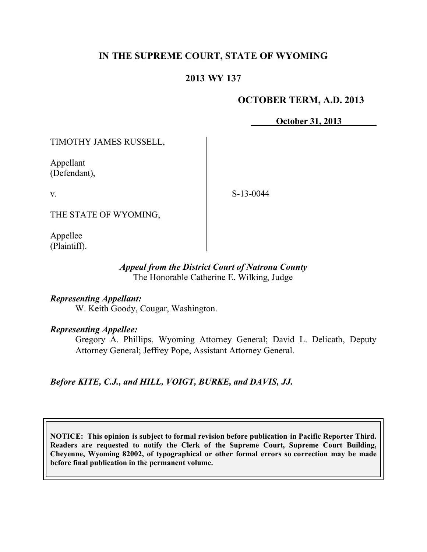# **IN THE SUPREME COURT, STATE OF WYOMING**

## **2013 WY 137**

## **OCTOBER TERM, A.D. 2013**

**October 31, 2013**

TIMOTHY JAMES RUSSELL,

Appellant (Defendant),

v.

S-13-0044

THE STATE OF WYOMING,

Appellee (Plaintiff).

### *Appeal from the District Court of Natrona County* The Honorable Catherine E. Wilking, Judge

## *Representing Appellant:*

W. Keith Goody, Cougar, Washington.

### *Representing Appellee:*

Gregory A. Phillips, Wyoming Attorney General; David L. Delicath, Deputy Attorney General; Jeffrey Pope, Assistant Attorney General.

*Before KITE, C.J., and HILL, VOIGT, BURKE, and DAVIS, JJ.*

**NOTICE: This opinion is subject to formal revision before publication in Pacific Reporter Third. Readers are requested to notify the Clerk of the Supreme Court, Supreme Court Building, Cheyenne, Wyoming 82002, of typographical or other formal errors so correction may be made before final publication in the permanent volume.**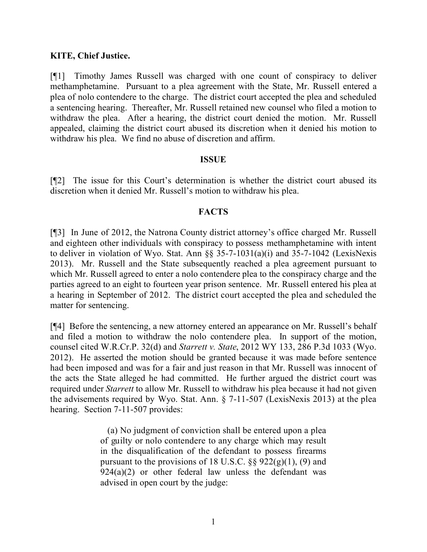## **KITE, Chief Justice.**

[¶1] Timothy James Russell was charged with one count of conspiracy to deliver methamphetamine. Pursuant to a plea agreement with the State, Mr. Russell entered a plea of nolo contendere to the charge. The district court accepted the plea and scheduled a sentencing hearing. Thereafter, Mr. Russell retained new counsel who filed a motion to withdraw the plea. After a hearing, the district court denied the motion. Mr. Russell appealed, claiming the district court abused its discretion when it denied his motion to withdraw his plea. We find no abuse of discretion and affirm.

#### **ISSUE**

[¶2] The issue for this Court's determination is whether the district court abused its discretion when it denied Mr. Russell's motion to withdraw his plea.

### **FACTS**

[¶3] In June of 2012, the Natrona County district attorney's office charged Mr. Russell and eighteen other individuals with conspiracy to possess methamphetamine with intent to deliver in violation of Wyo. Stat. Ann §§ 35-7-1031(a)(i) and 35-7-1042 (LexisNexis 2013). Mr. Russell and the State subsequently reached a plea agreement pursuant to which Mr. Russell agreed to enter a nolo contendere plea to the conspiracy charge and the parties agreed to an eight to fourteen year prison sentence. Mr. Russell entered his plea at a hearing in September of 2012. The district court accepted the plea and scheduled the matter for sentencing.

[¶4] Before the sentencing, a new attorney entered an appearance on Mr. Russell's behalf and filed a motion to withdraw the nolo contendere plea. In support of the motion, counsel cited W.R.Cr.P. 32(d) and *Starrett v. State*, 2012 WY 133, 286 P.3d 1033 (Wyo. 2012). He asserted the motion should be granted because it was made before sentence had been imposed and was for a fair and just reason in that Mr. Russell was innocent of the acts the State alleged he had committed. He further argued the district court was required under *Starrett* to allow Mr. Russell to withdraw his plea because it had not given the advisements required by Wyo. Stat. Ann. § 7-11-507 (LexisNexis 2013) at the plea hearing. Section 7-11-507 provides:

> (a) No judgment of conviction shall be entered upon a plea of guilty or nolo contendere to any charge which may result in the disqualification of the defendant to possess firearms pursuant to the provisions of 18 U.S.C.  $\S$ § 922(g)(1), (9) and  $924(a)(2)$  or other federal law unless the defendant was advised in open court by the judge: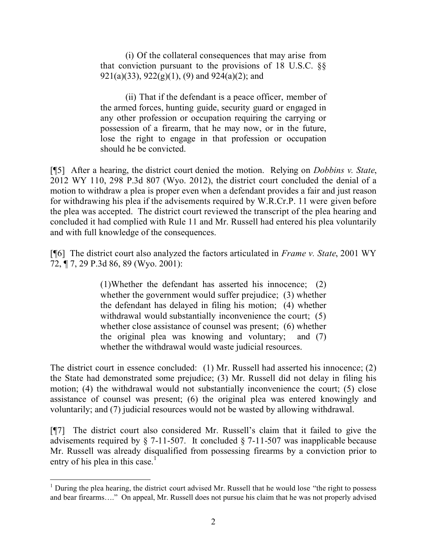(i) Of the collateral consequences that may arise from that conviction pursuant to the provisions of 18 U.S.C. §§ 921(a)(33), 922(g)(1), (9) and 924(a)(2); and

(ii) That if the defendant is a peace officer, member of the armed forces, hunting guide, security guard or engaged in any other profession or occupation requiring the carrying or possession of a firearm, that he may now, or in the future, lose the right to engage in that profession or occupation should he be convicted.

[¶5] After a hearing, the district court denied the motion. Relying on *Dobbins v. State*, 2012 WY 110, 298 P.3d 807 (Wyo. 2012), the district court concluded the denial of a motion to withdraw a plea is proper even when a defendant provides a fair and just reason for withdrawing his plea if the advisements required by W.R.Cr.P. 11 were given before the plea was accepted. The district court reviewed the transcript of the plea hearing and concluded it had complied with Rule 11 and Mr. Russell had entered his plea voluntarily and with full knowledge of the consequences.

[¶6] The district court also analyzed the factors articulated in *Frame v. State*, 2001 WY 72, ¶ 7, 29 P.3d 86, 89 (Wyo. 2001):

> (1)Whether the defendant has asserted his innocence; (2) whether the government would suffer prejudice; (3) whether the defendant has delayed in filing his motion; (4) whether withdrawal would substantially inconvenience the court; (5) whether close assistance of counsel was present; (6) whether the original plea was knowing and voluntary; and (7) whether the withdrawal would waste judicial resources.

The district court in essence concluded: (1) Mr. Russell had asserted his innocence; (2) the State had demonstrated some prejudice; (3) Mr. Russell did not delay in filing his motion; (4) the withdrawal would not substantially inconvenience the court; (5) close assistance of counsel was present; (6) the original plea was entered knowingly and voluntarily; and (7) judicial resources would not be wasted by allowing withdrawal.

[¶7] The district court also considered Mr. Russell's claim that it failed to give the advisements required by § 7-11-507. It concluded § 7-11-507 was inapplicable because Mr. Russell was already disqualified from possessing firearms by a conviction prior to entry of his plea in this case.<sup>1</sup>

 $1$  During the plea hearing, the district court advised Mr. Russell that he would lose "the right to possess" and bear firearms…." On appeal, Mr. Russell does not pursue his claim that he was not properly advised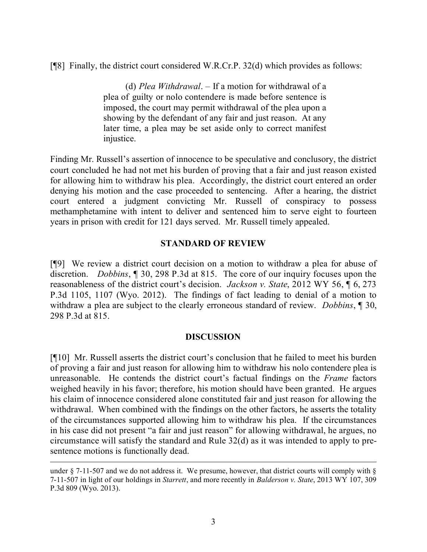[¶8] Finally, the district court considered W.R.Cr.P. 32(d) which provides as follows:

(d) *Plea Withdrawal*. – If a motion for withdrawal of a plea of guilty or nolo contendere is made before sentence is imposed, the court may permit withdrawal of the plea upon a showing by the defendant of any fair and just reason. At any later time, a plea may be set aside only to correct manifest injustice.

Finding Mr. Russell's assertion of innocence to be speculative and conclusory, the district court concluded he had not met his burden of proving that a fair and just reason existed for allowing him to withdraw his plea. Accordingly, the district court entered an order denying his motion and the case proceeded to sentencing. After a hearing, the district court entered a judgment convicting Mr. Russell of conspiracy to possess methamphetamine with intent to deliver and sentenced him to serve eight to fourteen years in prison with credit for 121 days served. Mr. Russell timely appealed.

## **STANDARD OF REVIEW**

[¶9] We review a district court decision on a motion to withdraw a plea for abuse of discretion. *Dobbins*, ¶ 30, 298 P.3d at 815. The core of our inquiry focuses upon the reasonableness of the district court's decision. *Jackson v. State*, 2012 WY 56, ¶ 6, 273 P.3d 1105, 1107 (Wyo. 2012). The findings of fact leading to denial of a motion to withdraw a plea are subject to the clearly erroneous standard of review. *Dobbins*, ¶ 30, 298 P.3d at 815.

### **DISCUSSION**

[¶10] Mr. Russell asserts the district court's conclusion that he failed to meet his burden of proving a fair and just reason for allowing him to withdraw his nolo contendere plea is unreasonable. He contends the district court's factual findings on the *Frame* factors weighed heavily in his favor; therefore, his motion should have been granted. He argues his claim of innocence considered alone constituted fair and just reason for allowing the withdrawal. When combined with the findings on the other factors, he asserts the totality of the circumstances supported allowing him to withdraw his plea. If the circumstances in his case did not present "a fair and just reason" for allowing withdrawal, he argues, no circumstance will satisfy the standard and Rule 32(d) as it was intended to apply to presentence motions is functionally dead.

 $\overline{a}$ 

under § 7-11-507 and we do not address it. We presume, however, that district courts will comply with § 7-11-507 in light of our holdings in *Starrett*, and more recently in *Balderson v. State*, 2013 WY 107, 309 P.3d 809 (Wyo. 2013).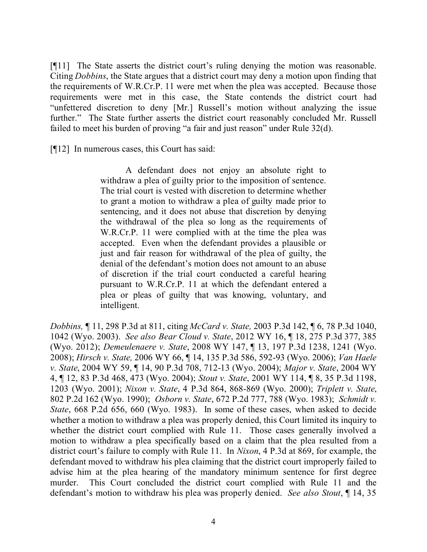[¶11] The State asserts the district court's ruling denying the motion was reasonable. Citing *Dobbins*, the State argues that a district court may deny a motion upon finding that the requirements of W.R.Cr.P. 11 were met when the plea was accepted. Because those requirements were met in this case, the State contends the district court had "unfettered discretion to deny [Mr.] Russell's motion without analyzing the issue further." The State further asserts the district court reasonably concluded Mr. Russell failed to meet his burden of proving "a fair and just reason" under Rule 32(d).

[¶12] In numerous cases, this Court has said:

A defendant does not enjoy an absolute right to withdraw a plea of guilty prior to the imposition of sentence. The trial court is vested with discretion to determine whether to grant a motion to withdraw a plea of guilty made prior to sentencing, and it does not abuse that discretion by denying the withdrawal of the plea so long as the requirements of W.R.Cr.P. 11 were complied with at the time the plea was accepted. Even when the defendant provides a plausible or just and fair reason for withdrawal of the plea of guilty, the denial of the defendant's motion does not amount to an abuse of discretion if the trial court conducted a careful hearing pursuant to W.R.Cr.P. 11 at which the defendant entered a plea or pleas of guilty that was knowing, voluntary, and intelligent.

*Dobbins,* ¶ 11, 298 P.3d at 811, citing *McCard v. State,* 2003 P.3d 142, ¶ 6, 78 P.3d 1040, 1042 (Wyo. 2003). *See also Bear Cloud v. State*, 2012 WY 16, ¶ 18, 275 P.3d 377, 385 (Wyo. 2012); *Demeulenaere v. State*, 2008 WY 147, ¶ 13, 197 P.3d 1238, 1241 (Wyo. 2008); *Hirsch v. State,* 2006 WY 66, ¶ 14, 135 P.3d 586, 592-93 (Wyo. 2006); *Van Haele v. State*, 2004 WY 59, ¶ 14, 90 P.3d 708, 712-13 (Wyo. 2004); *Major v. State*, 2004 WY 4, ¶ 12, 83 P.3d 468, 473 (Wyo. 2004); *Stout v. State*, 2001 WY 114, ¶ 8, 35 P.3d 1198, 1203 (Wyo. 2001); *Nixon v. State*, 4 P.3d 864, 868-869 (Wyo. 2000); *Triplett v. State*, 802 P.2d 162 (Wyo. 1990); *Osborn v. State*, 672 P.2d 777, 788 (Wyo. 1983); *Schmidt v. State*, 668 P.2d 656, 660 (Wyo. 1983). In some of these cases, when asked to decide whether a motion to withdraw a plea was properly denied, this Court limited its inquiry to whether the district court complied with Rule 11. Those cases generally involved a motion to withdraw a plea specifically based on a claim that the plea resulted from a district court's failure to comply with Rule 11. In *Nixon*, 4 P.3d at 869, for example, the defendant moved to withdraw his plea claiming that the district court improperly failed to advise him at the plea hearing of the mandatory minimum sentence for first degree murder. This Court concluded the district court complied with Rule 11 and the defendant's motion to withdraw his plea was properly denied. *See also Stout*, ¶ 14, 35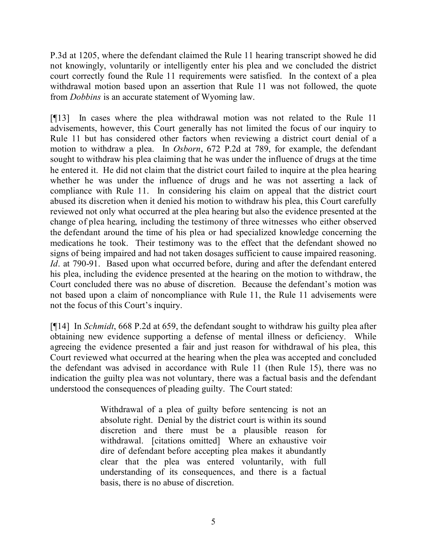P.3d at 1205, where the defendant claimed the Rule 11 hearing transcript showed he did not knowingly, voluntarily or intelligently enter his plea and we concluded the district court correctly found the Rule 11 requirements were satisfied. In the context of a plea withdrawal motion based upon an assertion that Rule 11 was not followed, the quote from *Dobbins* is an accurate statement of Wyoming law.

[¶13] In cases where the plea withdrawal motion was not related to the Rule 11 advisements, however, this Court generally has not limited the focus of our inquiry to Rule 11 but has considered other factors when reviewing a district court denial of a motion to withdraw a plea. In *Osborn*, 672 P.2d at 789, for example, the defendant sought to withdraw his plea claiming that he was under the influence of drugs at the time he entered it. He did not claim that the district court failed to inquire at the plea hearing whether he was under the influence of drugs and he was not asserting a lack of compliance with Rule 11. In considering his claim on appeal that the district court abused its discretion when it denied his motion to withdraw his plea, this Court carefully reviewed not only what occurred at the plea hearing but also the evidence presented at the change of plea hearing, including the testimony of three witnesses who either observed the defendant around the time of his plea or had specialized knowledge concerning the medications he took. Their testimony was to the effect that the defendant showed no signs of being impaired and had not taken dosages sufficient to cause impaired reasoning. *Id*. at 790-91. Based upon what occurred before, during and after the defendant entered his plea, including the evidence presented at the hearing on the motion to withdraw, the Court concluded there was no abuse of discretion. Because the defendant's motion was not based upon a claim of noncompliance with Rule 11, the Rule 11 advisements were not the focus of this Court's inquiry.

[¶14] In *Schmidt*, 668 P.2d at 659, the defendant sought to withdraw his guilty plea after obtaining new evidence supporting a defense of mental illness or deficiency. While agreeing the evidence presented a fair and just reason for withdrawal of his plea, this Court reviewed what occurred at the hearing when the plea was accepted and concluded the defendant was advised in accordance with Rule 11 (then Rule 15), there was no indication the guilty plea was not voluntary, there was a factual basis and the defendant understood the consequences of pleading guilty. The Court stated:

> Withdrawal of a plea of guilty before sentencing is not an absolute right. Denial by the district court is within its sound discretion and there must be a plausible reason for withdrawal. [citations omitted] Where an exhaustive voir dire of defendant before accepting plea makes it abundantly clear that the plea was entered voluntarily, with full understanding of its consequences, and there is a factual basis, there is no abuse of discretion.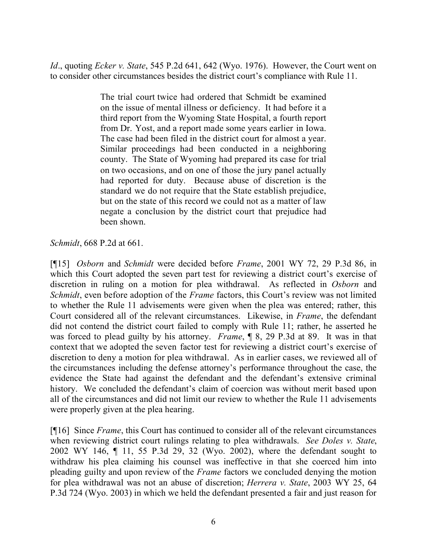*Id*., quoting *Ecker v. State*, 545 P.2d 641, 642 (Wyo. 1976). However, the Court went on to consider other circumstances besides the district court's compliance with Rule 11.

> The trial court twice had ordered that Schmidt be examined on the issue of mental illness or deficiency. It had before it a third report from the Wyoming State Hospital, a fourth report from Dr. Yost, and a report made some years earlier in Iowa. The case had been filed in the district court for almost a year. Similar proceedings had been conducted in a neighboring county. The State of Wyoming had prepared its case for trial on two occasions, and on one of those the jury panel actually had reported for duty. Because abuse of discretion is the standard we do not require that the State establish prejudice, but on the state of this record we could not as a matter of law negate a conclusion by the district court that prejudice had been shown.

*Schmidt*, 668 P.2d at 661.

[¶15] *Osborn* and *Schmidt* were decided before *Frame*, 2001 WY 72, 29 P.3d 86, in which this Court adopted the seven part test for reviewing a district court's exercise of discretion in ruling on a motion for plea withdrawal. As reflected in *Osborn* and *Schmidt*, even before adoption of the *Frame* factors, this Court's review was not limited to whether the Rule 11 advisements were given when the plea was entered; rather, this Court considered all of the relevant circumstances. Likewise, in *Frame*, the defendant did not contend the district court failed to comply with Rule 11; rather, he asserted he was forced to plead guilty by his attorney. *Frame*, ¶ 8, 29 P.3d at 89. It was in that context that we adopted the seven factor test for reviewing a district court's exercise of discretion to deny a motion for plea withdrawal. As in earlier cases, we reviewed all of the circumstances including the defense attorney's performance throughout the case, the evidence the State had against the defendant and the defendant's extensive criminal history. We concluded the defendant's claim of coercion was without merit based upon all of the circumstances and did not limit our review to whether the Rule 11 advisements were properly given at the plea hearing.

[¶16] Since *Frame*, this Court has continued to consider all of the relevant circumstances when reviewing district court rulings relating to plea withdrawals. *See Doles v. State*, 2002 WY 146, ¶ 11, 55 P.3d 29, 32 (Wyo. 2002), where the defendant sought to withdraw his plea claiming his counsel was ineffective in that she coerced him into pleading guilty and upon review of the *Frame* factors we concluded denying the motion for plea withdrawal was not an abuse of discretion; *Herrera v. State*, 2003 WY 25, 64 P.3d 724 (Wyo. 2003) in which we held the defendant presented a fair and just reason for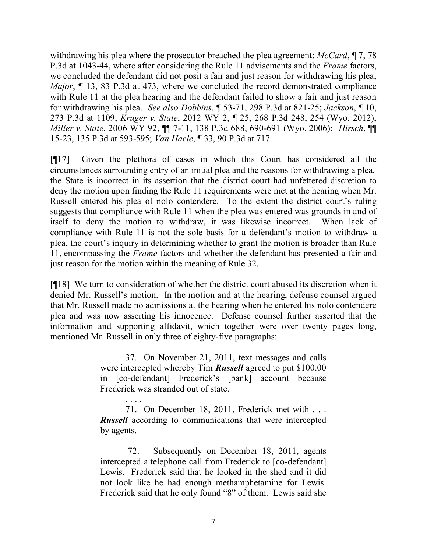withdrawing his plea where the prosecutor breached the plea agreement; *McCard*, ¶ 7, 78 P.3d at 1043-44, where after considering the Rule 11 advisements and the *Frame* factors, we concluded the defendant did not posit a fair and just reason for withdrawing his plea; *Major*, ¶ 13, 83 P.3d at 473, where we concluded the record demonstrated compliance with Rule 11 at the plea hearing and the defendant failed to show a fair and just reason for withdrawing his plea. *See also Dobbins*, ¶ 53-71, 298 P.3d at 821-25; *Jackson*, ¶ 10, 273 P.3d at 1109; *Kruger v. State*, 2012 WY 2, ¶ 25, 268 P.3d 248, 254 (Wyo. 2012); *Miller v. State*, 2006 WY 92, ¶¶ 7-11, 138 P.3d 688, 690-691 (Wyo. 2006); *Hirsch*, ¶¶ 15-23, 135 P.3d at 593-595; *Van Haele*, ¶ 33, 90 P.3d at 717.

[¶17] Given the plethora of cases in which this Court has considered all the circumstances surrounding entry of an initial plea and the reasons for withdrawing a plea, the State is incorrect in its assertion that the district court had unfettered discretion to deny the motion upon finding the Rule 11 requirements were met at the hearing when Mr. Russell entered his plea of nolo contendere. To the extent the district court's ruling suggests that compliance with Rule 11 when the plea was entered was grounds in and of itself to deny the motion to withdraw, it was likewise incorrect. When lack of compliance with Rule 11 is not the sole basis for a defendant's motion to withdraw a plea, the court's inquiry in determining whether to grant the motion is broader than Rule 11, encompassing the *Frame* factors and whether the defendant has presented a fair and just reason for the motion within the meaning of Rule 32.

[¶18] We turn to consideration of whether the district court abused its discretion when it denied Mr. Russell's motion. In the motion and at the hearing, defense counsel argued that Mr. Russell made no admissions at the hearing when he entered his nolo contendere plea and was now asserting his innocence. Defense counsel further asserted that the information and supporting affidavit, which together were over twenty pages long, mentioned Mr. Russell in only three of eighty-five paragraphs:

> 37. On November 21, 2011, text messages and calls were intercepted whereby Tim *Russell* agreed to put \$100.00 in [co-defendant] Frederick's [bank] account because Frederick was stranded out of state.

> 71. On December 18, 2011, Frederick met with . . . *Russell* according to communications that were intercepted by agents.

> 72. Subsequently on December 18, 2011, agents intercepted a telephone call from Frederick to [co-defendant] Lewis. Frederick said that he looked in the shed and it did not look like he had enough methamphetamine for Lewis. Frederick said that he only found "8" of them. Lewis said she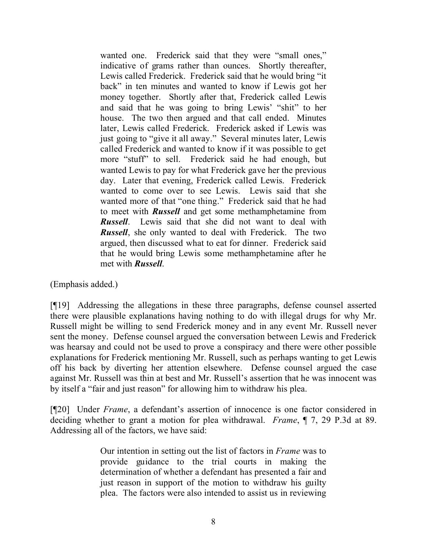wanted one. Frederick said that they were "small ones," indicative of grams rather than ounces. Shortly thereafter, Lewis called Frederick. Frederick said that he would bring "it back" in ten minutes and wanted to know if Lewis got her money together. Shortly after that, Frederick called Lewis and said that he was going to bring Lewis' "shit" to her house. The two then argued and that call ended. Minutes later, Lewis called Frederick. Frederick asked if Lewis was just going to "give it all away." Several minutes later, Lewis called Frederick and wanted to know if it was possible to get more "stuff" to sell. Frederick said he had enough, but wanted Lewis to pay for what Frederick gave her the previous day. Later that evening, Frederick called Lewis. Frederick wanted to come over to see Lewis. Lewis said that she wanted more of that "one thing." Frederick said that he had to meet with *Russell* and get some methamphetamine from *Russell*. Lewis said that she did not want to deal with *Russell*, she only wanted to deal with Frederick. The two argued, then discussed what to eat for dinner. Frederick said that he would bring Lewis some methamphetamine after he met with *Russell*.

(Emphasis added.)

[¶19] Addressing the allegations in these three paragraphs, defense counsel asserted there were plausible explanations having nothing to do with illegal drugs for why Mr. Russell might be willing to send Frederick money and in any event Mr. Russell never sent the money. Defense counsel argued the conversation between Lewis and Frederick was hearsay and could not be used to prove a conspiracy and there were other possible explanations for Frederick mentioning Mr. Russell, such as perhaps wanting to get Lewis off his back by diverting her attention elsewhere. Defense counsel argued the case against Mr. Russell was thin at best and Mr. Russell's assertion that he was innocent was by itself a "fair and just reason" for allowing him to withdraw his plea.

[¶20] Under *Frame*, a defendant's assertion of innocence is one factor considered in deciding whether to grant a motion for plea withdrawal. *Frame*, ¶ 7, 29 P.3d at 89. Addressing all of the factors, we have said:

> Our intention in setting out the list of factors in *Frame* was to provide guidance to the trial courts in making the determination of whether a defendant has presented a fair and just reason in support of the motion to withdraw his guilty plea. The factors were also intended to assist us in reviewing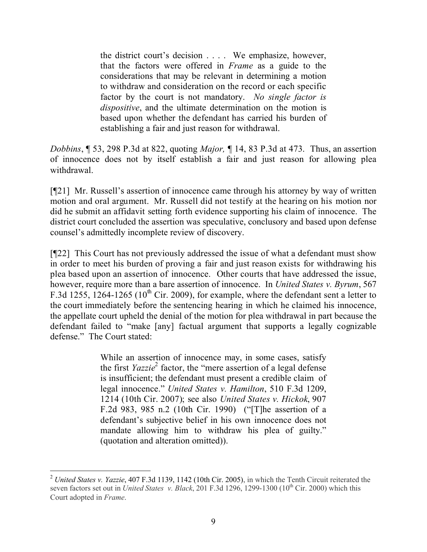the district court's decision . . . . We emphasize, however, that the factors were offered in *Frame* as a guide to the considerations that may be relevant in determining a motion to withdraw and consideration on the record or each specific factor by the court is not mandatory. *No single factor is dispositive*, and the ultimate determination on the motion is based upon whether the defendant has carried his burden of establishing a fair and just reason for withdrawal.

*Dobbins*, ¶ 53, 298 P.3d at 822, quoting *Major,* ¶ 14, 83 P.3d at 473. Thus, an assertion of innocence does not by itself establish a fair and just reason for allowing plea withdrawal.

[¶21] Mr. Russell's assertion of innocence came through his attorney by way of written motion and oral argument. Mr. Russell did not testify at the hearing on his motion nor did he submit an affidavit setting forth evidence supporting his claim of innocence. The district court concluded the assertion was speculative, conclusory and based upon defense counsel's admittedly incomplete review of discovery.

[¶22] This Court has not previously addressed the issue of what a defendant must show in order to meet his burden of proving a fair and just reason exists for withdrawing his plea based upon an assertion of innocence. Other courts that have addressed the issue, however, require more than a bare assertion of innocence. In *United States v. Byrum*, 567 F.3d 1255,  $1264-1265$  ( $10<sup>th</sup>$  Cir. 2009), for example, where the defendant sent a letter to the court immediately before the sentencing hearing in which he claimed his innocence, the appellate court upheld the denial of the motion for plea withdrawal in part because the defendant failed to "make [any] factual argument that supports a legally cognizable defense." The Court stated:

> While an assertion of innocence may, in some cases, satisfy the first *Yazzie*<sup>2</sup> factor, the "mere assertion of a legal defense is insufficient; the defendant must present a credible claim of legal innocence." *United States v. Hamilton*, 510 F.3d 1209, 1214 (10th Cir. 2007); see also *United States v. Hickok*, 907 F.2d 983, 985 n.2 (10th Cir. 1990) ("[T]he assertion of a defendant's subjective belief in his own innocence does not mandate allowing him to withdraw his plea of guilty." (quotation and alteration omitted)).

 <sup>2</sup> *United States v. Yazzie*, 407 F.3d 1139, 1142 (10th Cir. 2005), in which the Tenth Circuit reiterated the seven factors set out in *United States v. Black*, 201 F.3d 1296, 1299-1300 (10<sup>th</sup> Cir. 2000) which this Court adopted in *Frame*.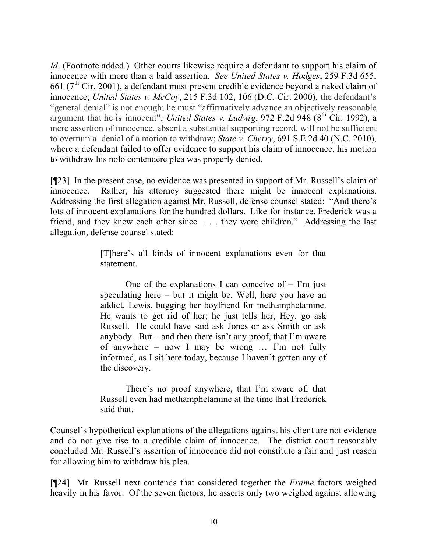*Id.* (Footnote added.) Other courts likewise require a defendant to support his claim of innocence with more than a bald assertion. *See United States v. Hodges*, 259 F.3d 655, 661 ( $7<sup>th</sup>$  Cir. 2001), a defendant must present credible evidence beyond a naked claim of innocence; *United States v. McCoy*, 215 F.3d 102, 106 (D.C. Cir. 2000), the defendant's "general denial" is not enough; he must "affirmatively advance an objectively reasonable argument that he is innocent"; *United States v. Ludwig*, 972 F.2d 948 (8<sup>th</sup> Cir. 1992), a mere assertion of innocence, absent a substantial supporting record, will not be sufficient to overturn a denial of a motion to withdraw; *State v. Cherry*, 691 S.E.2d 40 (N.C. 2010), where a defendant failed to offer evidence to support his claim of innocence, his motion to withdraw his nolo contendere plea was properly denied.

[¶23] In the present case, no evidence was presented in support of Mr. Russell's claim of innocence. Rather, his attorney suggested there might be innocent explanations. Addressing the first allegation against Mr. Russell, defense counsel stated: "And there's lots of innocent explanations for the hundred dollars. Like for instance, Frederick was a friend, and they knew each other since . . . they were children." Addressing the last allegation, defense counsel stated:

> [T]here's all kinds of innocent explanations even for that statement.

> One of the explanations I can conceive of  $-$  I'm just speculating here – but it might be, Well, here you have an addict, Lewis, bugging her boyfriend for methamphetamine. He wants to get rid of her; he just tells her, Hey, go ask Russell. He could have said ask Jones or ask Smith or ask anybody. But – and then there isn't any proof, that I'm aware of anywhere – now I may be wrong … I'm not fully informed, as I sit here today, because I haven't gotten any of the discovery.

> There's no proof anywhere, that I'm aware of, that Russell even had methamphetamine at the time that Frederick said that.

Counsel's hypothetical explanations of the allegations against his client are not evidence and do not give rise to a credible claim of innocence. The district court reasonably concluded Mr. Russell's assertion of innocence did not constitute a fair and just reason for allowing him to withdraw his plea.

[¶24] Mr. Russell next contends that considered together the *Frame* factors weighed heavily in his favor. Of the seven factors, he asserts only two weighed against allowing